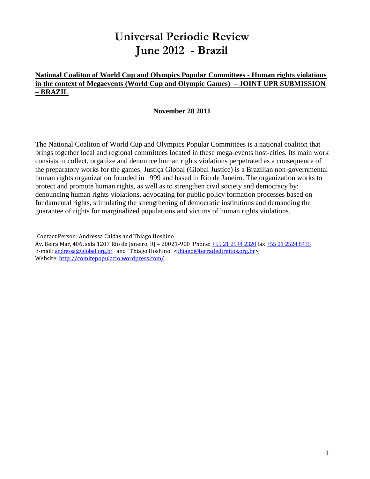# **Universal Periodic Review June 2012 - Brazil**

## **National Coaliton of World Cup and Olympics Popular Committees - Human rights violations in the context of Megaevents (World Cup and Olympic Games) – JOINT UPR SUBMISSION – BRAZIL**

## **November 28 2011**

The National Coaliton of World Cup and Olympics Popular Committees is a national coaliton that brings together local and regional committees located in these mega-events host-cities. Its main work consists in collect, organize and denounce human rights violations perpetrated as a consequence of the preparatory works for the games. Justiça Global (Global Justice) is a Brazilian non-governmental human rights organization founded in 1999 and based in Rio de Janeiro. The organization works to protect and promote human rights, as well as to strengthen civil society and democracy by: denouncing human rights violations, advocating for public policy formation processes based on fundamental rights, stimulating the strengthening of democratic institutions and demanding the guarantee of rights for marginalized populations and victims of human rights violations.

Contact Person: Andressa Caldas and Thiago Hoshino Av. Beira Mar, 406, sala 1207 Rio de Janeiro, RJ – 20021-900 Phone: [+55 21 2544 2320](tel:%2B55%2021%202544%202320) fax [+55 21 2524 8435](tel:%2B55%2021%202524%208435) E-mail: [andressa@global.org.br](mailto:andressa@global.org.br) and "Thiago Hoshino" [<thiago@terradedireitos.org.br>](mailto:thiago@terradedireitos.org.br), Website:<http://comitepopulario.wordpress.com/>

\_\_\_\_\_\_\_\_\_\_\_\_\_\_\_\_\_\_\_\_\_\_\_\_\_\_\_\_\_\_\_\_\_\_\_\_\_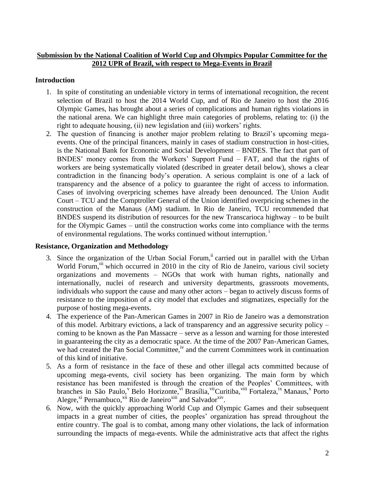## **Submission by the National Coalition of World Cup and Olympics Popular Committee for the 2012 UPR of Brazil, with respect to Mega-Events in Brazil**

## **Introduction**

- 1. In spite of constituting an undeniable victory in terms of international recognition, the recent selection of Brazil to host the 2014 World Cup, and of Rio de Janeiro to host the 2016 Olympic Games, has brought about a series of complications and human rights violations in the national arena. We can highlight three main categories of problems, relating to: (i) the right to adequate housing, (ii) new legislation and (iii) workers' rights.
- 2. The question of financing is another major problem relating to Brazil's upcoming megaevents. One of the principal financers, mainly in cases of stadium construction in host-cities, is the National Bank for Economic and Social Development – BNDES. The fact that part of BNDES' money comes from the Workers' Support Fund – FAT, and that the rights of workers are being systematically violated (described in greater detail below), shows a clear contradiction in the financing body's operation. A serious complaint is one of a lack of transparency and the absence of a policy to guarantee the right of access to information. Cases of involving overpricing schemes have already been denounced. The Union Audit Court – TCU and the Comptroller General of the Union identified overpricing schemes in the construction of the Manaus (AM) stadium. In Rio de Janeiro, TCU recommended that BNDES suspend its distribution of resources for the new Transcarioca highway – to be built for the Olympic Games – until the construction works come into compliance with the terms of environmental regulations. The works continued without interruption.<sup>1</sup>

## **Resistance, Organization and Methodology**

- 3. Since the organization of the Urban Social Forum, <sup>ii</sup> carried out in parallel with the Urban World Forum, <sup>iii</sup> which occurred in 2010 in the city of Rio de Janeiro, various civil society organizations and movements – NGOs that work with human rights, nationally and internationally, nuclei of research and university departments, grassroots movements, individuals who support the cause and many other actors – began to actively discuss forms of resistance to the imposition of a city model that excludes and stigmatizes, especially for the purpose of hosting mega-events.
- 4. The experience of the Pan-American Games in 2007 in Rio de Janeiro was a demonstration of this model. Arbitrary evictions, a lack of transparency and an aggressive security policy – coming to be known as the Pan Massacre – serve as a lesson and warning for those interested in guaranteeing the city as a democratic space. At the time of the 2007 Pan-American Games, we had created the Pan Social Committee,<sup>iv</sup> and the current Committees work in continuation of this kind of initiative.
- 5. As a form of resistance in the face of these and other illegal acts committed because of upcoming mega-events, civil society has been organizing. The main form by which resistance has been manifested is through the creation of the Peoples' Committees, with branches in São Paulo, Belo Horizonte, vi Brasília, vi Curitiba, vi Fortaleza, ix Manaus, <sup>x</sup> Porto Alegre,<sup>xi</sup> Pernambuco,<sup>xii</sup> Rio de Janeiro<sup>xiii</sup> and Salvador<sup>xiv</sup>.
- 6. Now, with the quickly approaching World Cup and Olympic Games and their subsequent impacts in a great number of cities, the peoples' organization has spread throughout the entire country. The goal is to combat, among many other violations, the lack of information surrounding the impacts of mega-events. While the administrative acts that affect the rights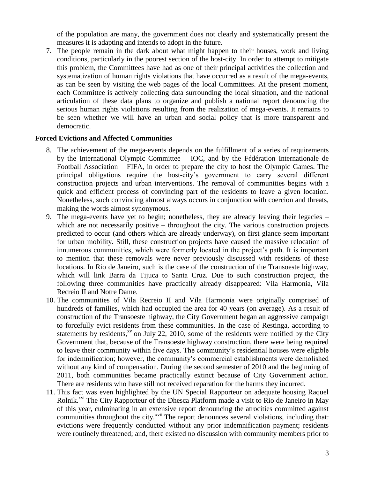of the population are many, the government does not clearly and systematically present the measures it is adapting and intends to adopt in the future.

7. The people remain in the dark about what might happen to their houses, work and living conditions, particularly in the poorest section of the host-city. In order to attempt to mitigate this problem, the Committees have had as one of their principal activities the collection and systematization of human rights violations that have occurred as a result of the mega-events, as can be seen by visiting the web pages of the local Committees. At the present moment, each Committee is actively collecting data surrounding the local situation, and the national articulation of these data plans to organize and publish a national report denouncing the serious human rights violations resulting from the realization of mega-events. It remains to be seen whether we will have an urban and social policy that is more transparent and democratic.

### **Forced Evictions and Affected Communities**

- 8. The achievement of the mega-events depends on the fulfillment of a series of requirements by the International Olympic Committee – IOC, and by the Fédération Internationale de Football Association – FIFA, in order to prepare the city to host the Olympic Games. The principal obligations require the host-city's government to carry several different construction projects and urban interventions. The removal of communities begins with a quick and efficient process of convincing part of the residents to leave a given location. Nonetheless, such convincing almost always occurs in conjunction with coercion and threats, making the words almost synonymous.
- 9. The mega-events have yet to begin; nonetheless, they are already leaving their legacies which are not necessarily positive – throughout the city. The various construction projects predicted to occur (and others which are already underway), on first glance seem important for urban mobility. Still, these construction projects have caused the massive relocation of innumerous communities, which were formerly located in the project's path. It is important to mention that these removals were never previously discussed with residents of these locations. In Rio de Janeiro, such is the case of the construction of the Transoeste highway, which will link Barra da Tijuca to Santa Cruz. Due to such construction project, the following three communities have practically already disappeared: Vila Harmonia, Vila Recreio II and Notre Dame.
- 10. The communities of Vila Recreio II and Vila Harmonia were originally comprised of hundreds of families, which had occupied the area for 40 years (on average). As a result of construction of the Transoeste highway, the City Government began an aggressive campaign to forcefully evict residents from these communities. In the case of Restinga, according to statements by residents, $x<sup>v</sup>$  on July 22, 2010, some of the residents were notified by the City Government that, because of the Transoeste highway construction, there were being required to leave their community within five days. The community's residential houses were eligible for indemnification; however, the community's commercial establishments were demolished without any kind of compensation. During the second semester of 2010 and the beginning of 2011, both communities became practically extinct because of City Government action. There are residents who have still not received reparation for the harms they incurred.
- 11. This fact was even highlighted by the UN Special Rapporteur on adequate housing Raquel Rolnik.<sup>xvi</sup> The City Rapporteur of the Dhesca Platform made a visit to Rio de Janeiro in May of this year, culminating in an extensive report denouncing the atrocities committed against communities throughout the city. $\frac{x}{y}$  The report denounces several violations, including that: evictions were frequently conducted without any prior indemnification payment; residents were routinely threatened; and, there existed no discussion with community members prior to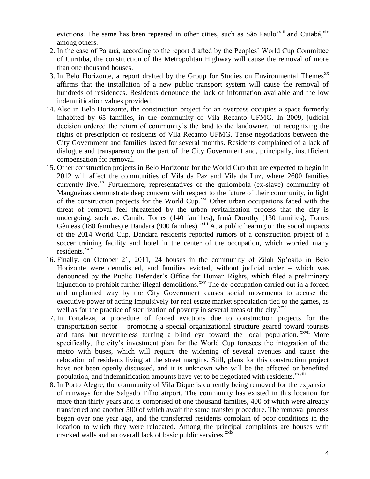evictions. The same has been repeated in other cities, such as São Paulo<sup>xviii</sup> and Cuiabá, xix among others.

- 12. In the case of Paraná, according to the report drafted by the Peoples' World Cup Committee of Curitiba, the construction of the Metropolitan Highway will cause the removal of more than one thousand houses.
- 13. In Belo Horizonte, a report drafted by the Group for Studies on Environmental Themes<sup>xx</sup> affirms that the installation of a new public transport system will cause the removal of hundreds of residences. Residents denounce the lack of information available and the low indemnification values provided.
- 14. Also in Belo Horizonte, the construction project for an overpass occupies a space formerly inhabited by 65 families, in the community of Vila Recanto UFMG. In 2009, judicial decision ordered the return of community's the land to the landowner, not recognizing the rights of prescription of residents of Vila Recanto UFMG. Tense negotiations between the City Government and families lasted for several months. Residents complained of a lack of dialogue and transparency on the part of the City Government and, principally, insufficient compensation for removal.
- 15. Other construction projects in Belo Horizonte for the World Cup that are expected to begin in 2012 will affect the communities of Vila da Paz and Vila da Luz, where 2600 families currently live.<sup> $xxi$ </sup> Furthermore, representatives of the quilombola (ex-slave) community of Mangueiras demonstrate deep concern with respect to the future of their community, in light of the construction projects for the World Cup.<sup>xxii</sup> Other urban occupations faced with the threat of removal feel threatened by the urban revitalization process that the city is undergoing, such as: Camilo Torres (140 families), Irmã Dorothy (130 families), Torres Gêmeas (180 families) e Dandara (900 families).<sup>xxiii</sup> At a public hearing on the social impacts of the 2014 World Cup, Dandara residents reported rumors of a construction project of a soccer training facility and hotel in the center of the occupation, which worried many residents.<sup>xxiv</sup>
- 16. Finally, on October 21, 2011, 24 houses in the community of Zilah Sp'osito in Belo Horizonte were demolished, and families evicted, without judicial order – which was denounced by the Public Defender's Office for Human Rights, which filed a preliminary injunction to prohibit further illegal demolitions.<sup>xxv</sup> The de-occupation carried out in a forced and unplanned way by the City Government causes social movements to accuse the executive power of acting impulsively for real estate market speculation tied to the games, as well as for the practice of sterilization of poverty in several areas of the city.<sup>xxvi</sup>
- 17. In Fortaleza, a procedure of forced evictions due to construction projects for the transportation sector – promoting a special organizational structure geared toward tourists and fans but nevertheless turning a blind eye toward the local population. *xxvii* More specifically, the city's investment plan for the World Cup foresees the integration of the metro with buses, which will require the widening of several avenues and cause the relocation of residents living at the street margins. Still, plans for this construction project have not been openly discussed, and it is unknown who will be the affected or benefited population, and indemnification amounts have yet to be negotiated with residents.<sup>xxviii</sup>
- 18. In Porto Alegre, the community of Vila Dique is currently being removed for the expansion of runways for the Salgado Filho airport. The community has existed in this location for more than thirty years and is comprised of one thousand families, 400 of which were already transferred and another 500 of which await the same transfer procedure. The removal process began over one year ago, and the transferred residents complain of poor conditions in the location to which they were relocated. Among the principal complaints are houses with cracked walls and an overall lack of basic public services.<sup>xxix</sup>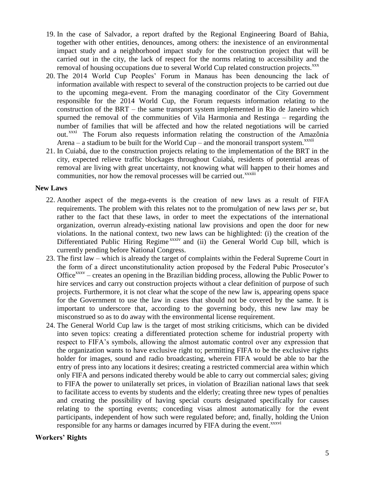- 19. In the case of Salvador, a report drafted by the Regional Engineering Board of Bahia, together with other entities, denounces, among others: the inexistence of an environmental impact study and a neighborhood impact study for the construction project that will be carried out in the city, the lack of respect for the norms relating to accessibility and the removal of housing occupations due to several World Cup related construction projects.<sup>xxx</sup>
- 20. The 2014 World Cup Peoples' Forum in Manaus has been denouncing the lack of information available with respect to several of the construction projects to be carried out due to the upcoming mega-event. From the managing coordinator of the City Government responsible for the 2014 World Cup, the Forum requests information relating to the construction of the BRT – the same transport system implemented in Rio de Janeiro which spurned the removal of the communities of Vila Harmonia and Restinga – regarding the number of families that will be affected and how the related negotiations will be carried out.<sup>xxxi</sup> The Forum also requests information relating the construction of the Amazônia Arena – a stadium to be built for the World Cup – and the monorail transport system. $^{xxxii}$
- 21. In Cuiabá, due to the construction projects relating to the implementation of the BRT in the city, expected relieve traffic blockages throughout Cuiabá, residents of potential areas of removal are living with great uncertainty, not knowing what will happen to their homes and communities, nor how the removal processes will be carried out.<sup>xxxiii</sup>

### **New Laws**

- 22. Another aspect of the mega-events is the creation of new laws as a result of FIFA requirements. The problem with this relates not to the promulgation of new laws *per se*, but rather to the fact that these laws, in order to meet the expectations of the international organization, overrun already-existing national law provisions and open the door for new violations. In the national context, two new laws can be highlighted: (i) the creation of the Differentiated Public Hiring Regime<sup>xxxiv</sup> and (ii) the General World Cup bill, which is currently pending before National Congress.
- 23. The first law which is already the target of complaints within the Federal Supreme Court in the form of a direct unconstitutionality action proposed by the Federal Pubic Prosecutor's Office<sup>xxxv</sup> – creates an opening in the Brazilian bidding process, allowing the Public Power to hire services and carry out construction projects without a clear definition of purpose of such projects. Furthermore, it is not clear what the scope of the new law is, appearing opens space for the Government to use the law in cases that should not be covered by the same. It is important to underscore that, according to the governing body, this new law may be misconstrued so as to do away with the environmental license requirement.
- 24. The General World Cup law is the target of most striking criticisms, which can be divided into seven topics: creating a differentiated protection scheme for industrial property with respect to FIFA's symbols, allowing the almost automatic control over any expression that the organization wants to have exclusive right to; permitting FIFA to be the exclusive rights holder for images, sound and radio broadcasting, wherein FIFA would be able to bar the entry of press into any locations it desires; creating a restricted commercial area within which only FIFA and persons indicated thereby would be able to carry out commercial sales; giving to FIFA the power to unilaterally set prices, in violation of Brazilian national laws that seek to facilitate access to events by students and the elderly; creating three new types of penalties and creating the possibility of having special courts designated specifically for causes relating to the sporting events; conceding visas almost automatically for the event participants, independent of how such were regulated before; and, finally, holding the Union responsible for any harms or damages incurred by FIFA during the event.<sup>xxxvi</sup>

#### **Workers' Rights**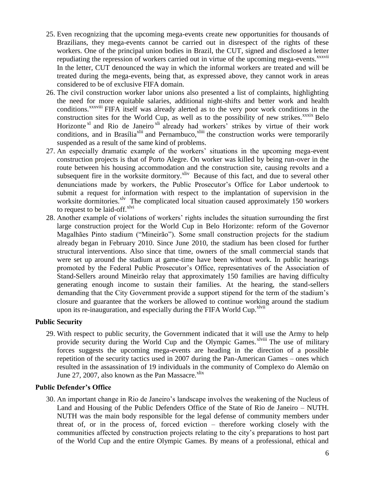- 25. Even recognizing that the upcoming mega-events create new opportunities for thousands of Brazilians, they mega-events cannot be carried out in disrespect of the rights of these workers. One of the principal union bodies in Brazil, the CUT, signed and disclosed a letter repudiating the repression of workers carried out in virtue of the upcoming mega-events.<sup>xxxvii</sup> In the letter, CUT denounced the way in which the informal workers are treated and will be treated during the mega-events, being that, as expressed above, they cannot work in areas considered to be of exclusive FIFA domain.
- 26. The civil construction worker labor unions also presented a list of complaints, highlighting the need for more equitable salaries, additional night-shifts and better work and health conditions.<sup>xxxviii</sup> FIFA itself was already alerted as to the very poor work conditions in the construction sites for the World Cup, as well as to the possibility of new strikes. $\frac{x}{x}$ Relo Horizonte<sup>xl</sup> and Rio de Janeiro<sup>xli</sup> already had workers' strikes by virtue of their work conditions, and in Brasília<sup>xlii</sup> and Pernambuco,<sup>xliii</sup> the construction works were temporarily suspended as a result of the same kind of problems.
- 27. An especially dramatic example of the workers' situations in the upcoming mega-event construction projects is that of Porto Alegre. On worker was killed by being run-over in the route between his housing accommodation and the construction site, causing revolts and a subsequent fire in the worksite dormitory.<sup>xliv</sup> Because of this fact, and due to several other denunciations made by workers, the Public Prosecutor's Office for Labor undertook to submit a request for information with respect to the implantation of supervision in the worksite dormitories.<sup>xlv</sup> The complicated local situation caused approximately 150 workers to request to be laid-off. $x$ lvi
- 28. Another example of violations of workers' rights includes the situation surrounding the first large construction project for the World Cup in Belo Horizonte: reform of the Governor Magalhães Pinto stadium ("Mineirão"). Some small construction projects for the stadium already began in February 2010. Since June 2010, the stadium has been closed for further structural interventions. Also since that time, owners of the small commercial stands that were set up around the stadium at game-time have been without work. In public hearings promoted by the Federal Public Prosecutor's Office, representatives of the Association of Stand-Sellers around Mineirão relay that approximately 150 families are having difficulty generating enough income to sustain their families. At the hearing, the stand-sellers demanding that the City Government provide a support stipend for the term of the stadium's closure and guarantee that the workers be allowed to continue working around the stadium upon its re-inauguration, and especially during the FIFA World Cup.<sup>xlvii</sup>

## **Public Security**

29. With respect to public security, the Government indicated that it will use the Army to help provide security during the World Cup and the Olympic Games.<sup>xlviii</sup> The use of military forces suggests the upcoming mega-events are heading in the direction of a possible repetition of the security tactics used in 2007 during the Pan-American Games – ones which resulted in the assassination of 19 individuals in the community of Complexo do Alemão on June 27, 2007, also known as the Pan Massacre. $x$ lix

## **Public Defender's Office**

30. An important change in Rio de Janeiro's landscape involves the weakening of the Nucleus of Land and Housing of the Public Defenders Office of the State of Rio de Janeiro – NUTH. NUTH was the main body responsible for the legal defense of community members under threat of, or in the process of, forced eviction – therefore working closely with the communities affected by construction projects relating to the city's preparations to host part of the World Cup and the entire Olympic Games. By means of a professional, ethical and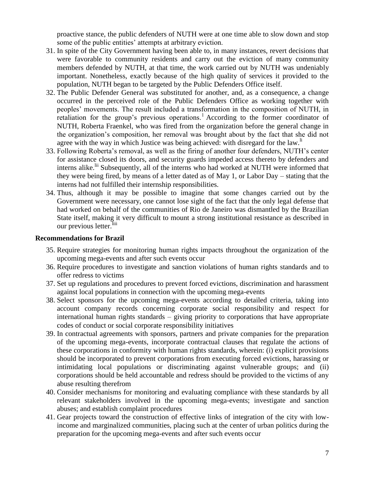proactive stance, the public defenders of NUTH were at one time able to slow down and stop some of the public entities' attempts at arbitrary eviction.

- 31. In spite of the City Government having been able to, in many instances, revert decisions that were favorable to community residents and carry out the eviction of many community members defended by NUTH, at that time, the work carried out by NUTH was undeniably important. Nonetheless, exactly because of the high quality of services it provided to the population, NUTH began to be targeted by the Public Defenders Office itself.
- 32. The Public Defender General was substituted for another, and, as a consequence, a change occurred in the perceived role of the Public Defenders Office as working together with peoples' movements. The result included a transformation in the composition of NUTH, in retaliation for the group's previous operations.<sup>1</sup> According to the former coordinator of NUTH, Roberta Fraenkel, who was fired from the organization before the general change in the organization's composition, her removal was brought about by the fact that she did not agree with the way in which Justice was being achieved: with disregard for the law. $\mathbf{u}$
- 33. Following Roberta's removal, as well as the firing of another four defenders, NUTH's center for assistance closed its doors, and security guards impeded access thereto by defenders and interns alike.<sup>lii</sup> Subsequently, all of the interns who had worked at NUTH were informed that they were being fired, by means of a letter dated as of May 1, or Labor Day – stating that the interns had not fulfilled their internship responsibilities.
- 34. Thus, although it may be possible to imagine that some changes carried out by the Government were necessary, one cannot lose sight of the fact that the only legal defense that had worked on behalf of the communities of Rio de Janeiro was dismantled by the Brazilian State itself, making it very difficult to mount a strong institutional resistance as described in our previous letter.<sup>liii</sup>

### **Recommendations for Brazil**

- 35. Require strategies for monitoring human rights impacts throughout the organization of the upcoming mega-events and after such events occur
- 36. Require procedures to investigate and sanction violations of human rights standards and to offer redress to victims
- 37. Set up regulations and procedures to prevent forced evictions, discrimination and harassment against local populations in connection with the upcoming mega-events
- 38. Select sponsors for the upcoming mega-events according to detailed criteria, taking into account company records concerning corporate social responsibility and respect for international human rights standards – giving priority to corporations that have appropriate codes of conduct or social corporate responsibility initiatives
- 39. In contractual agreements with sponsors, partners and private companies for the preparation of the upcoming mega-events, incorporate contractual clauses that regulate the actions of these corporations in conformity with human rights standards, wherein: (i) explicit provisions should be incorporated to prevent corporations from executing forced evictions, harassing or intimidating local populations or discriminating against vulnerable groups; and (ii) corporations should be held accountable and redress should be provided to the victims of any abuse resulting therefrom
- 40. Consider mechanisms for monitoring and evaluating compliance with these standards by all relevant stakeholders involved in the upcoming mega-events; investigate and sanction abuses; and establish complaint procedures
- 41. Gear projects toward the construction of effective links of integration of the city with lowincome and marginalized communities, placing such at the center of urban politics during the preparation for the upcoming mega-events and after such events occur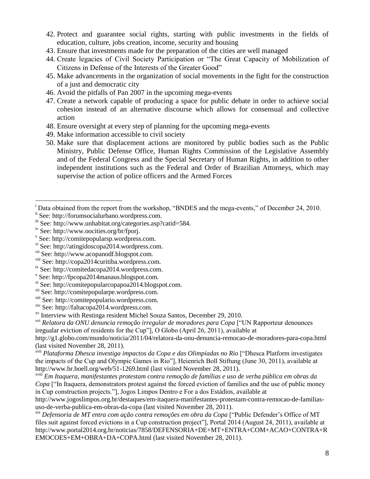- 42. Protect and guarantee social rights, starting with public investments in the fields of education, culture, jobs creation, income, security and housing
- 43. Ensure that investments made for the preparation of the cities are well managed
- 44. Create legacies of Civil Society Participation or "The Great Capacity of Mobilization of Citizens in Defense of the Interests of the Greater Good"
- 45. Make advancements in the organization of social movements in the fight for the construction of a just and democratic city
- 46. Avoid the pitfalls of Pan 2007 in the upcoming mega-events
- 47. Create a network capable of producing a space for public debate in order to achieve social cohesion instead of an alternative discourse which allows for consensual and collective action
- 48. Ensure oversight at every step of planning for the upcoming mega-events
- 49. Make information accessible to civil society
- 50. Make sure that displacement actions are monitored by public bodies such as the Public Ministry, Public Defense Office, Human Rights Commission of the Legislative Assembly and of the Federal Congress and the Special Secretary of Human Rights, in addition to other independent institutions such as the Federal and Order of Brazilian Attorneys, which may supervise the action of police officers and the Armed Forces

 $\overline{a}$ 

xvi *Relatora da ONU denuncia remoção irregular de moradores para Copa* ["UN Rapporteur denounces iregualar eviction of residents for the Cup"], O Globo (April 26, 2011), available at

http://g1.globo.com/mundo/noticia/2011/04/relatora-da-onu-denuncia-remocao-de-moradores-para-copa.html (last visited November 28, 2011).

xvii *Plataforma Dhesca investiga impactos da Copa e das Olimpíadas no Rio* ["Dhesca Platform investigates the impacts of the Cup and Olympic Games in Rio"], Heienrich Boll Stiftung (June 30, 2011), available at http://www.br.boell.org/web/51-1269.html (last visited November 28, 2011).

xviii *Em Itaquera, manifestantes protestam contra remoção de famílias e uso de verba pública em obras da Copa* ["In Itaquera, demonstrators protest against the forced eviction of families and the use of public money in Cup construction projects."], Jogos Limpos Dentro e For a dos Estádios, available at

http://www.jogoslimpos.org.br/destaques/em-itaquera-manifestantes-protestam-contra-remocao-de-familiasuso-de-verba-publica-em-obras-da-copa (last visited November 28, 2011).

xix *Defensoria de MT entra com ação contra remoções em obra da Copa* ["Public Defender's Office of MT files suit against forced evictions in a Cup construction project"], Portal 2014 (August 24, 2011), available at http://www.portal2014.org.br/noticias/7858/DEFENSORIA+DE+MT+ENTRA+COM+ACAO+CONTRA+R EMOCOES+EM+OBRA+DA+COPA.html (last visited November 28, 2011).

<sup>&</sup>lt;sup>i</sup> Data obtained from the report from the workshop, "BNDES and the mega-events," of December 24, 2010.

ii See: http://forumsocialurbano.wordpress.com.

iii See: http://www.unhabitat.org/categories.asp?catid=584.

iv See: http://www.oocities.org/br/fporj.

v See: http://comitepopularsp.wordpress.com.

vi See: http://atingidoscopa2014.wordpress.com.

vii See: http://www.acopanodf.blogspot.com.

viii See: http://copa2014curitiba.wordpress.com.

ix See: http://comitedacopa2014.wordpress.com.

x See: http://fpcopa2014manaus.blogspot.com.

<sup>&</sup>lt;sup>xi</sup> See: http://comitepopularcopapoa2014.blogspot.com.

xii See: http://comitepopularpe.wordpress.com.

xiii See: http://comitepopulario.wordpress.com.

xiv See: http://faltacopa2014.wordpress.com.

xv Interview with Restinga resident Michel Souza Santos, December 29, 2010.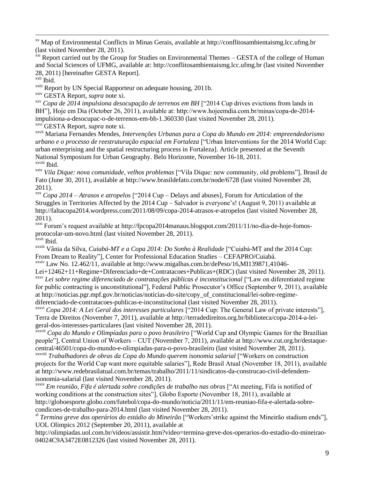xx Map of Environmental Conflicts in Minas Gerais, available at http://conflitosambientaismg.lcc.ufmg.br (last visited November 28, 2011).

<sup>xxi</sup> Report carried out by the Group for Studies on Environmental Themes – GESTA of the college of Human and Social Sciences of UFMG, available at: http://conflitosambientaismg.lcc.ufmg.br (last visited November 28, 2011) [hereinafter GESTA Report].

xxii Ibid.

 $\overline{a}$ 

<sup>xxiii</sup> Report by UN Special Rapporteur on adequate housing, 2011b.

xxiv GESTA Report, *supra* note xi.

xxv *Copa de 2014 impulsiona desocupação de terrenos em BH* ["2014 Cup drives evictions from lands in BH"], Hoje em Dia (October 26, 2011), available at: http://www.hojeemdia.com.br/minas/copa-de-2014 impulsiona-a-desocupac-o-de-terrenos-em-bh-1.360330 (last visited November 28, 2011). xxvi GESTA Report, *supra* note xi.

xxvii Mariana Fernandes Mendes, *Intervenções Urbanas para a Copa do Mundo em 2014: empreendedorismo urbano e o processo de reestruturação espacial em Fortaleza* ["Urban Interventions for the 2014 World Cup: urban enterprising and the spatial restructuring process in Fortaleza]. Article presented at the Seventh National Symposium for Urban Geography. Belo Horizonte, November 16-18, 2011.

xxviii Ibid.

xxix *Vila Dique: nova comunidade, velhos problemas* ["Vila Dique: new community, old problems"], Brasil de Fato (June 30, 2011), available at http://www.brasildefato.com.br/node/6728 (last visited November 28, 2011).

xxx *Copa 2014 – Atrasos e atropelos* ["2014 Cup – Delays and abuses], Forum for Articulation of the Struggles in Territories Affected by the 2014 Cup – Salvador is everyone's! (August 9, 2011) available at http://faltacopa2014.wordpress.com/2011/08/09/copa-2014-atrasos-e-atropelos (last visited November 28, 2011).

xxxi Forum's request available at http://fpcopa2014manaus.blogspot.com/2011/11/no-dia-de-hoje-fomosprotocolar-um-novo.html (last visited November 28, 2011). xxxii Ibid.

xxxiii Vânia da Silva, *Cuiabá-MT e a Copa 2014: Do Sonho à Realidade* ["Cuiabá-MT and the 2014 Cup: From Dream to Reality"], Center for Professional Education Studies – CEFAPRO/Cuiabá.

xxxiv Law No. 12.462/11, available at http://www.migalhas.com.br/dePeso/16,MI139871,41046-

Lei+12462+11+Regime+Diferenciado+de+Contratacoes+Publicas+(RDC) (last visited November 28, 2011). xxxv *Lei sobre regime diferenciado de contratações públicas é inconstitucional* ["Law on diferentiated regime

for public contracting is unconstitutional"], Federal Public Prosecutor's Office (September 9, 2011), available at http://noticias.pgr.mpf.gov.br/noticias/noticias-do-site/copy\_of\_constitucional/lei-sobre-regimediferenciado-de-contratacoes-publicas-e-inconstitucional (last visited November 28, 2011).

xxxvi *Copa 2014: A Lei Geral dos interesses particulares* ["2014 Cup: The General Law of private interests"], Terra de Direitos (November 7, 2011), available at http://terradedireitos.org.br/biblioteca/copa-2014-a-leigeral-dos-interesses-particulares (last visited November 28, 2011).

xxxvii *Copa do Mundo e Olimpíadas para o povo brasileiro* ["World Cup and Olympic Games for the Brazilian people"], Central Union of Workers – CUT (November 7, 2011), available at http://www.cut.org.br/destaquecentral/46501/copa-do-mundo-e-olimpiadas-para-o-povo-brasileiro (last visited November 28, 2011).

xxxviii *Trabalhadores de obras da Copa do Mundo querem isonomia salarial* ["Workers on construction projects for the World Cup want more equitable salaries"], Rede Brasil Atual (November 18, 2011), available at http://www.redebrasilatual.com.br/temas/trabalho/2011/11/sindicatos-da-construcao-civil-defendemisonomia-salarial (last visited November 28, 2011).

xxxix *Em reunião, Fifa é alertada sobre condições de trabalho nas obras* ["At meeting, Fifa is notified of working conditions at the construction sites"], Globo Esporte (November 18, 2011), available at http://globoesporte.globo.com/futebol/copa-do-mundo/noticia/2011/11/em-reuniao-fifa-e-alertada-sobrecondicoes-de-trabalho-para-2014.html (last visited November 28, 2011).

xl *Termina greve dos operários do estádio do Mineirão* ["Workers'strike against the Mineirão stadium ends"], UOL Olimpics 2012 (September 20, 2011), available at

http://olimpiadas.uol.com.br/videos/assistir.htm?video=termina-greve-dos-operarios-do-estadio-do-mineirao-04024C9A3472E0812326 (last visited November 28, 2011).